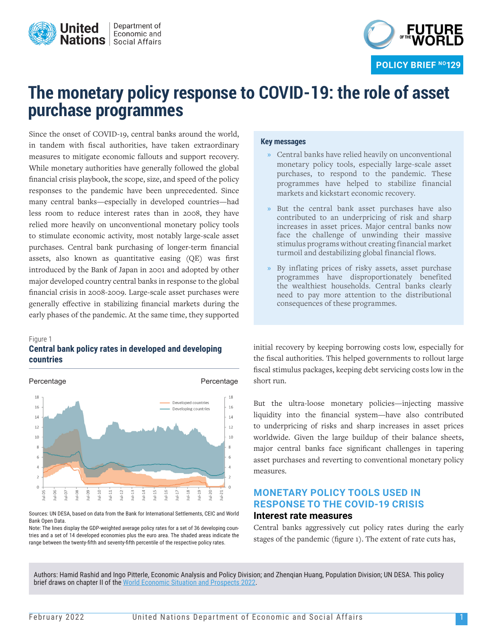



# **The monetary policy response to COVID-19: the role of asset purchase programmes**

Since the onset of COVID-19, central banks around the world, in tandem with fiscal authorities, have taken extraordinary measures to mitigate economic fallouts and support recovery. While monetary authorities have generally followed the global financial crisis playbook, the scope, size, and speed of the policy responses to the pandemic have been unprecedented. Since many central banks—especially in developed countries—had less room to reduce interest rates than in 2008, they have relied more heavily on unconventional monetary policy tools to stimulate economic activity, most notably large-scale asset purchases. Central bank purchasing of longer-term financial assets, also known as quantitative easing (QE) was first introduced by the Bank of Japan in 2001 and adopted by other major developed country central banks in response to the global financial crisis in 2008-2009. Large-scale asset purchases were generally effective in stabilizing financial markets during the early phases of the pandemic. At the same time, they supported

#### Figure 1 **Central bank policy rates in developed and developing countries**



Sources: UN DESA, based on data from the Bank for International Settlements, CEIC and World Bank Open Data.

Note: The lines display the GDP-weighted average policy rates for a set of 36 developing countries and a set of 14 developed economies plus the euro area. The shaded areas indicate the range between the twenty-fifth and seventy-fifth percentile of the respective policy rates.

#### **Key messages**

- **»** Central banks have relied heavily on unconventional monetary policy tools, especially large-scale asset purchases, to respond to the pandemic. These programmes have helped to stabilize financial markets and kickstart economic recovery.
- **»** But the central bank asset purchases have also contributed to an underpricing of risk and sharp increases in asset prices. Major central banks now face the challenge of unwinding their massive stimulus programs without creating financial market turmoil and destabilizing global financial flows.
- **»** By inflating prices of risky assets, asset purchase programmes have disproportionately benefited the wealthiest households. Central banks clearly need to pay more attention to the distributional consequences of these programmes.

initial recovery by keeping borrowing costs low, especially for the fiscal authorities. This helped governments to rollout large fiscal stimulus packages, keeping debt servicing costs low in the short run.

But the ultra-loose monetary policies—injecting massive liquidity into the financial system—have also contributed to underpricing of risks and sharp increases in asset prices worldwide. Given the large buildup of their balance sheets, major central banks face significant challenges in tapering asset purchases and reverting to conventional monetary policy measures.

## **MONETARY POLICY TOOLS USED IN RESPONSE TO THE COVID-19 CRISIS Interest rate measures**

Central banks aggressively cut policy rates during the early stages of the pandemic (figure 1). The extent of rate cuts has,

Authors: Hamid Rashid and Ingo Pitterle, Economic Analysis and Policy Division; and Zhenqian Huang, Population Division; UN DESA. This policy brief draws on chapter II of the [World Economic Situation and Prospects 2022](https://www.un.org/development/desa/dpad/publication/world-economic-situation-and-prospects-2022/).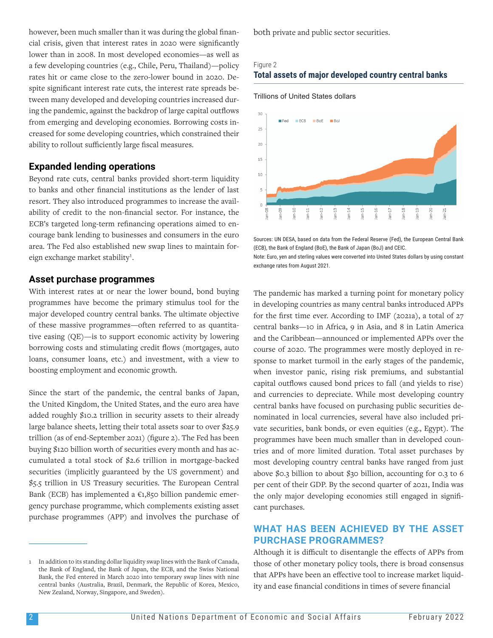however, been much smaller than it was during the global financial crisis, given that interest rates in 2020 were significantly lower than in 2008. In most developed economies—as well as a few developing countries (e.g., Chile, Peru, Thailand)—policy rates hit or came close to the zero-lower bound in 2020. Despite significant interest rate cuts, the interest rate spreads between many developed and developing countries increased during the pandemic, against the backdrop of large capital outflows from emerging and developing economies. Borrowing costs increased for some developing countries, which constrained their ability to rollout sufficiently large fiscal measures.

## **Expanded lending operations**

Beyond rate cuts, central banks provided short-term liquidity to banks and other financial institutions as the lender of last resort. They also introduced programmes to increase the availability of credit to the non-financial sector. For instance, the ECB's targeted long-term refinancing operations aimed to encourage bank lending to businesses and consumers in the euro area. The Fed also established new swap lines to maintain foreign exchange market stability<sup>1</sup>.

## **Asset purchase programmes**

With interest rates at or near the lower bound, bond buying programmes have become the primary stimulus tool for the major developed country central banks. The ultimate objective of these massive programmes—often referred to as quantitative easing (QE)—is to support economic activity by lowering borrowing costs and stimulating credit flows (mortgages, auto loans, consumer loans, etc.) and investment, with a view to boosting employment and economic growth.

Since the start of the pandemic, the central banks of Japan, the United Kingdom, the United States, and the euro area have added roughly \$10.2 trillion in security assets to their already large balance sheets, letting their total assets soar to over \$25.9 trillion (as of end-September 2021) (figure 2). The Fed has been buying \$120 billion worth of securities every month and has accumulated a total stock of \$2.6 trillion in mortgage-backed securities (implicitly guaranteed by the US government) and \$5.5 trillion in US Treasury securities. The European Central Bank (ECB) has implemented a  $\epsilon$ 1,850 billion pandemic emergency purchase programme, which complements existing asset purchase programmes (APP) and involves the purchase of

1 In addition to its standing dollar liquidity swap lines with the Bank of Canada, the Bank of England, the Bank of Japan, the ECB, and the Swiss National Bank, the Fed entered in March 2020 into temporary swap lines with nine central banks (Australia, Brazil, Denmark, the Republic of Korea, Mexico, New Zealand, Norway, Singapore, and Sweden).

both private and public sector securities.

#### Figure 2 **Total assets of major developed country central banks**





Sources: UN DESA, based on data from the Federal Reserve (Fed), the European Central Bank (ECB), the Bank of England (BoE), the Bank of Japan (BoJ) and CEIC.

Note: Euro, yen and sterling values were converted into United States dollars by using constant exchange rates from August 2021.

The pandemic has marked a turning point for monetary policy in developing countries as many central banks introduced APPs for the first time ever. According to IMF (2021a), a total of 27 central banks—10 in Africa, 9 in Asia, and 8 in Latin America and the Caribbean—announced or implemented APPs over the course of 2020. The programmes were mostly deployed in response to market turmoil in the early stages of the pandemic, when investor panic, rising risk premiums, and substantial capital outflows caused bond prices to fall (and yields to rise) and currencies to depreciate. While most developing country central banks have focused on purchasing public securities denominated in local currencies, several have also included private securities, bank bonds, or even equities (e.g., Egypt). The programmes have been much smaller than in developed countries and of more limited duration. Total asset purchases by most developing country central banks have ranged from just above \$0.3 billion to about \$30 billion, accounting for 0.3 to 6 per cent of their GDP. By the second quarter of 2021, India was the only major developing economies still engaged in significant purchases.

# **WHAT HAS BEEN ACHIEVED BY THE ASSET PURCHASE PROGRAMMES?**

Although it is difficult to disentangle the effects of APPs from those of other monetary policy tools, there is broad consensus that APPs have been an effective tool to increase market liquidity and ease financial conditions in times of severe financial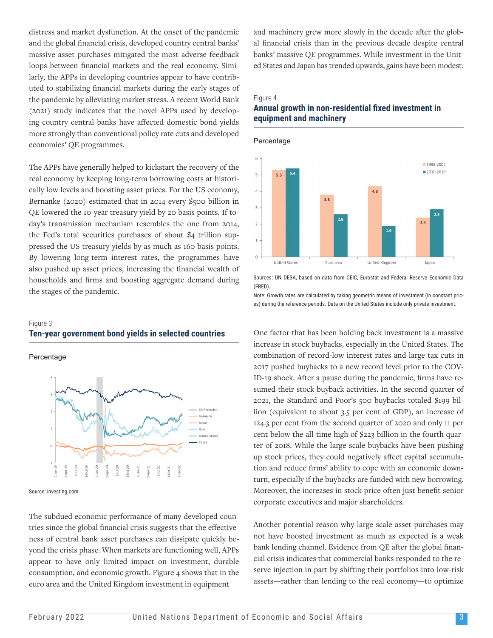distress and market dysfunction. At the onset of the pandemic and the global financial crisis, developed country central banks' massive asset purchases mitigated the most adverse feedback loops between financial markets and the real economy. Similarly, the APPs in developing countries appear to have contributed to stabilizing financial markets during the early stages of the pandemic by alleviating market stress. A recent World Bank (2021) study indicates that the novel APPs used by developing country central banks have affected domestic bond yields more strongly than conventional policy rate cuts and developed economies' QE programmes.

The APPs have generally helped to kickstart the recovery of the real economy by keeping long-term borrowing costs at historically low levels and boosting asset prices. For the US economy, Bernanke (2020) estimated that in 2014 every \$500 billion in QE lowered the 10-year treasury yield by 20 basis points. If today's transmission mechanism resembles the one from 2014, the Fed's total securities purchases of about \$4 trillion suppressed the US treasury yields by as much as 160 basis points. By lowering long-term interest rates, the programmes have also pushed up asset prices, increasing the financial wealth of households and firms and boosting aggregate demand during the stages of the pandemic.

# Figure 3 **Ten-year government bond yields in selected countries**

Percentage



Source: investing.com.

The subdued economic performance of many developed countries since the global financial crisis suggests that the effectiveness of central bank asset purchases can dissipate quickly beyond the crisis phase. When markets are functioning well, APPs appear to have only limited impact on investment, durable consumption, and economic growth. Figure 4 shows that in the euro area and the United Kingdom investment in equipment

and machinery grew more slowly in the decade after the global financial crisis than in the previous decade despite central banks' massive QE programmes. While investment in the United States and Japan has trended upwards, gains have been modest.

#### Figure 4

# **Annual growth in non-residential fixed investment in equipment and machinery**



Sources: UN DESA, based on data from CEIC, Eurostat and Federal Reserve Economic Data (FRED).

Note: Growth rates are calculated by taking geometric means of investment (in constant prices) during the reference periods. Data on the United States include only private investment.

One factor that has been holding back investment is a massive increase in stock buybacks, especially in the United States. The combination of record-low interest rates and large tax cuts in 2017 pushed buybacks to a new record level prior to the COV-ID-19 shock. After a pause during the pandemic, firms have resumed their stock buyback activities. In the second quarter of 2021, the Standard and Poor's 500 buybacks totaled \$199 billion (equivalent to about 3.5 per cent of GDP), an increase of 124.3 per cent from the second quarter of 2020 and only 11 per cent below the all-time high of \$223 billion in the fourth quarter of 2018. While the large-scale buybacks have been pushing up stock prices, they could negatively affect capital accumulation and reduce firms' ability to cope with an economic downturn, especially if the buybacks are funded with new borrowing. Moreover, the increases in stock price often just benefit senior corporate executives and major shareholders.

Another potential reason why large-scale asset purchases may not have boosted investment as much as expected is a weak bank lending channel. Evidence from QE after the global financial crisis indicates that commercial banks responded to the reserve injection in part by shifting their portfolios into low-risk assets—rather than lending to the real economy—to optimize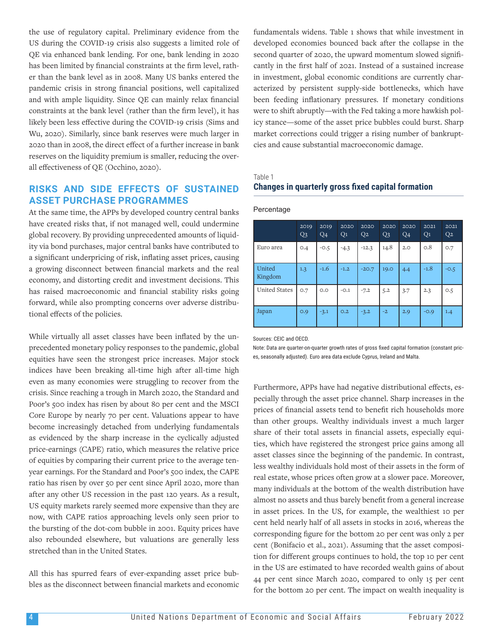the use of regulatory capital. Preliminary evidence from the US during the COVID-19 crisis also suggests a limited role of QE via enhanced bank lending. For one, bank lending in 2020 has been limited by financial constraints at the firm level, rather than the bank level as in 2008. Many US banks entered the pandemic crisis in strong financial positions, well capitalized and with ample liquidity. Since QE can mainly relax financial constraints at the bank level (rather than the firm level), it has likely been less effective during the COVID-19 crisis (Sims and Wu, 2020). Similarly, since bank reserves were much larger in 2020 than in 2008, the direct effect of a further increase in bank reserves on the liquidity premium is smaller, reducing the overall effectiveness of QE (Occhino, 2020).

# **RISKS AND SIDE EFFECTS OF SUSTAINED ASSET PURCHASE PROGRAMMES**

At the same time, the APPs by developed country central banks have created risks that, if not managed well, could undermine global recovery. By providing unprecedented amounts of liquidity via bond purchases, major central banks have contributed to a significant underpricing of risk, inflating asset prices, causing a growing disconnect between financial markets and the real economy, and distorting credit and investment decisions. This has raised macroeconomic and financial stability risks going forward, while also prompting concerns over adverse distributional effects of the policies.

While virtually all asset classes have been inflated by the unprecedented monetary policy responses to the pandemic, global equities have seen the strongest price increases. Major stock indices have been breaking all-time high after all-time high even as many economies were struggling to recover from the crisis. Since reaching a trough in March 2020, the Standard and Poor's 500 index has risen by about 80 per cent and the MSCI Core Europe by nearly 70 per cent. Valuations appear to have become increasingly detached from underlying fundamentals as evidenced by the sharp increase in the cyclically adjusted price-earnings (CAPE) ratio, which measures the relative price of equities by comparing their current price to the average tenyear earnings. For the Standard and Poor's 500 index, the CAPE ratio has risen by over 50 per cent since April 2020, more than after any other US recession in the past 120 years. As a result, US equity markets rarely seemed more expensive than they are now, with CAPE ratios approaching levels only seen prior to the bursting of the dot-com bubble in 2001. Equity prices have also rebounded elsewhere, but valuations are generally less stretched than in the United States.

All this has spurred fears of ever-expanding asset price bubbles as the disconnect between financial markets and economic fundamentals widens. Table 1 shows that while investment in developed economies bounced back after the collapse in the second quarter of 2020, the upward momentum slowed significantly in the first half of 2021. Instead of a sustained increase in investment, global economic conditions are currently characterized by persistent supply-side bottlenecks, which have been feeding inflationary pressures. If monetary conditions were to shift abruptly—with the Fed taking a more hawkish policy stance—some of the asset price bubbles could burst. Sharp market corrections could trigger a rising number of bankruptcies and cause substantial macroeconomic damage.

Table 1

# **Changes in quarterly gross fixed capital formation**

| Percentage |  |
|------------|--|
|------------|--|

|                   | 2019<br>Q <sub>3</sub> | 2019<br>Q <sub>4</sub> | 2020<br>Q <sub>1</sub> | 2020<br>Q <sub>2</sub> | 2020<br>Q <sub>3</sub> | 2020<br>Q <sub>4</sub> | 2021<br>Q <sub>1</sub> | 2021<br>Q <sub>2</sub> |
|-------------------|------------------------|------------------------|------------------------|------------------------|------------------------|------------------------|------------------------|------------------------|
| Euro area         | O.4                    | $-0.5$                 | $-4.3$                 | $-12.3$                | 14.8                   | 2.0                    | O.8                    | O.7                    |
| United<br>Kingdom | 1.3                    | $-1.6$                 | $-1.2$                 | $-20.7$                | 19.0                   | 4.4                    | $-1.8$                 | $-0.5$                 |
| United States     | O.7                    | O.O                    | $-0.1$                 | $-7.2$                 | 5.2                    | 3.7                    | 2.3                    | O.5                    |
| Japan             | O.9                    | $-3.1$                 | O.2                    | $-3.2$                 | $-2$                   | 2.9                    | $-0.9$                 | 1.4                    |

Sources: CEIC and OECD.

Note: Data are quarter-on-quarter growth rates of gross fixed capital formation (constant prices, seasonally adjusted). Euro area data exclude Cyprus, Ireland and Malta.

Furthermore, APPs have had negative distributional effects, especially through the asset price channel. Sharp increases in the prices of financial assets tend to benefit rich households more than other groups. Wealthy individuals invest a much larger share of their total assets in financial assets, especially equities, which have registered the strongest price gains among all asset classes since the beginning of the pandemic. In contrast, less wealthy individuals hold most of their assets in the form of real estate, whose prices often grow at a slower pace. Moreover, many individuals at the bottom of the wealth distribution have almost no assets and thus barely benefit from a general increase in asset prices. In the US, for example, the wealthiest 10 per cent held nearly half of all assets in stocks in 2016, whereas the corresponding figure for the bottom 20 per cent was only 2 per cent (Bonifacio et al., 2021). Assuming that the asset composition for different groups continues to hold, the top 10 per cent in the US are estimated to have recorded wealth gains of about 44 per cent since March 2020, compared to only 15 per cent for the bottom 20 per cent. The impact on wealth inequality is